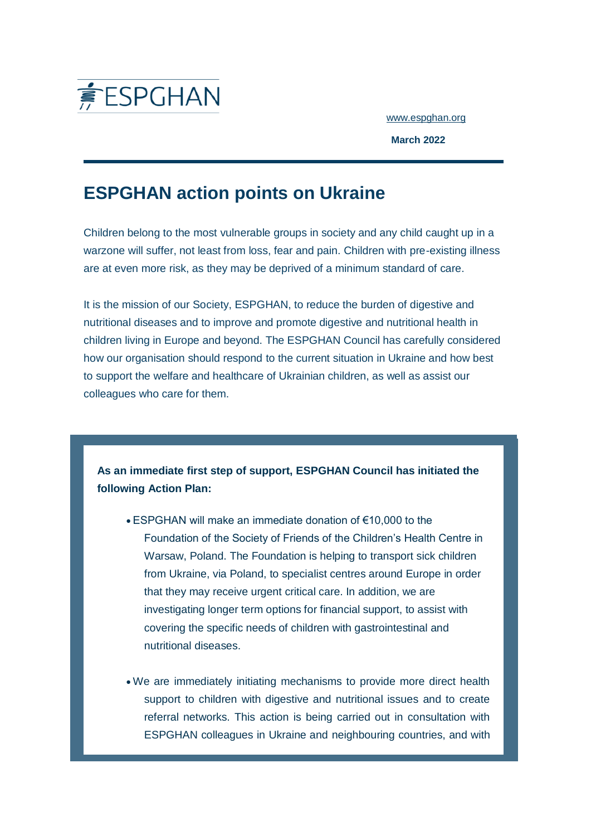

[www.espghan.org](https://espghan.us4.list-manage.com/track/click?u=c35add66311111f7e60fc36ad&id=77d1d26d45&e=81748e7507)

**March 2022**

## **ESPGHAN action points on Ukraine**

Children belong to the most vulnerable groups in society and any child caught up in a warzone will suffer, not least from loss, fear and pain. Children with pre-existing illness are at even more risk, as they may be deprived of a minimum standard of care.

It is the mission of our Society, ESPGHAN, to reduce the burden of digestive and nutritional diseases and to improve and promote digestive and nutritional health in children living in Europe and beyond. The ESPGHAN Council has carefully considered how our organisation should respond to the current situation in Ukraine and how best to support the welfare and healthcare of Ukrainian children, as well as assist our colleagues who care for them.

**As an immediate first step of support, ESPGHAN Council has initiated the following Action Plan:**

- ESPGHAN will make an immediate donation of €10,000 to the Foundation of the Society of Friends of the Children's Health Centre in Warsaw, Poland. The Foundation is helping to transport sick children from Ukraine, via Poland, to specialist centres around Europe in order that they may receive urgent critical care. In addition, we are investigating longer term options for financial support, to assist with covering the specific needs of children with gastrointestinal and nutritional diseases.
- We are immediately initiating mechanisms to provide more direct health support to children with digestive and nutritional issues and to create referral networks. This action is being carried out in consultation with ESPGHAN colleagues in Ukraine and neighbouring countries, and with